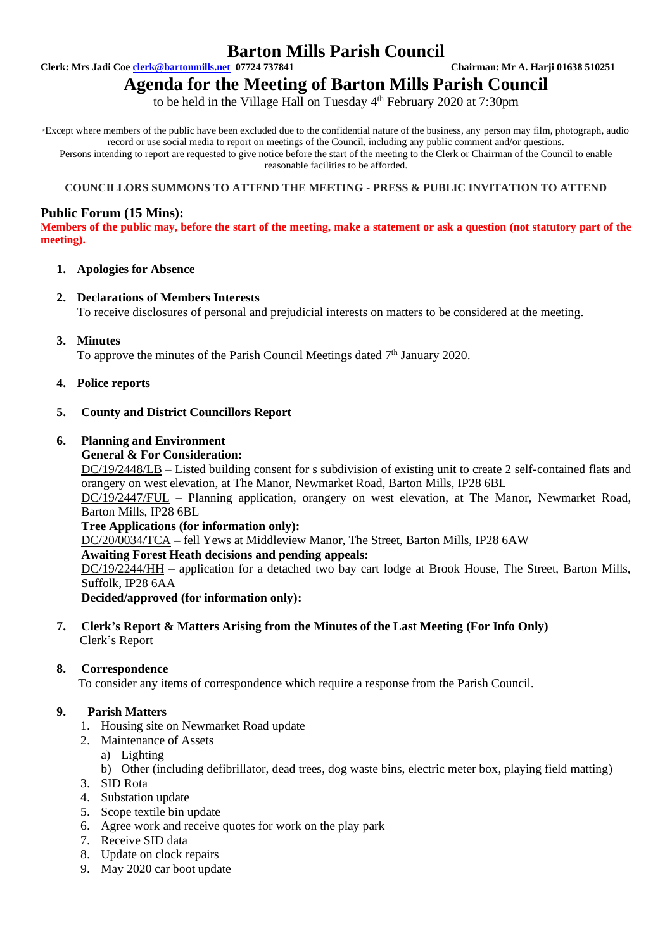# **Barton Mills Parish Council**

**Clerk: Mrs Jadi Coe [clerk@bartonmills.net](mailto:clerk@bartonmills.net) 07724 737841 Chairman: Mr A. Harji 01638 510251**

# **Agenda for the Meeting of Barton Mills Parish Council**

to be held in the Village Hall on Tuesday 4<sup>th</sup> February 2020 at 7:30pm

\*Except where members of the public have been excluded due to the confidential nature of the business, any person may film, photograph, audio record or use social media to report on meetings of the Council, including any public comment and/or questions. Persons intending to report are requested to give notice before the start of the meeting to the Clerk or Chairman of the Council to enable reasonable facilities to be afforded.

#### **COUNCILLORS SUMMONS TO ATTEND THE MEETING - PRESS & PUBLIC INVITATION TO ATTEND**

# **Public Forum (15 Mins):**

**Members of the public may, before the start of the meeting, make a statement or ask a question (not statutory part of the meeting).**

#### **1. Apologies for Absence**

#### **2. Declarations of Members Interests**

To receive disclosures of personal and prejudicial interests on matters to be considered at the meeting.

**3. Minutes**

To approve the minutes of the Parish Council Meetings dated 7<sup>th</sup> January 2020.

**4. Police reports**

#### **5. County and District Councillors Report**

# **6. Planning and Environment**

#### **General & For Consideration:**

DC/19/2448/LB – Listed building consent for s subdivision of existing unit to create 2 self-contained flats and orangery on west elevation, at The Manor, Newmarket Road, Barton Mills, IP28 6BL

DC/19/2447/FUL – Planning application, orangery on west elevation, at The Manor, Newmarket Road, Barton Mills, IP28 6BL

#### **Tree Applications (for information only):**

DC/20/0034/TCA – fell Yews at Middleview Manor, The Street, Barton Mills, IP28 6AW

#### **Awaiting Forest Heath decisions and pending appeals:**

DC/19/2244/HH – application for a detached two bay cart lodge at Brook House, The Street, Barton Mills, Suffolk, IP28 6AA

**Decided/approved (for information only):**

#### **7. Clerk's Report & Matters Arising from the Minutes of the Last Meeting (For Info Only)** Clerk's Report

#### **8. Correspondence**

To consider any items of correspondence which require a response from the Parish Council.

# **9. Parish Matters**

- 1. Housing site on Newmarket Road update
- 2. Maintenance of Assets
	- a) Lighting
		- b) Other (including defibrillator, dead trees, dog waste bins, electric meter box, playing field matting)
- 3. SID Rota
- 4. Substation update
- 5. Scope textile bin update
- 6. Agree work and receive quotes for work on the play park
- 7. Receive SID data
- 8. Update on clock repairs
- 9. May 2020 car boot update